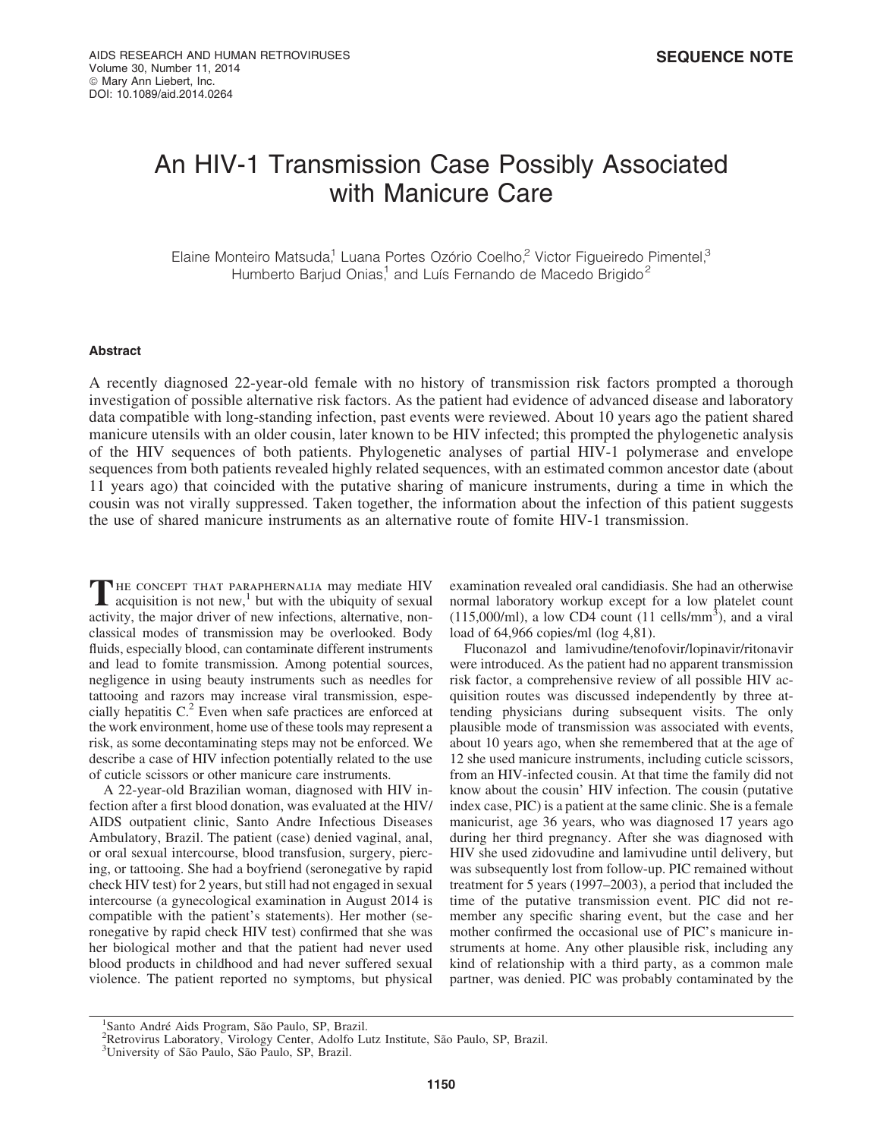# An HIV-1 Transmission Case Possibly Associated with Manicure Care

Elaine Monteiro Matsuda,<sup>1</sup> Luana Portes Ozório Coelho,<sup>2</sup> Victor Figueiredo Pimentel,<sup>3</sup> Humberto Barjud Onias,<sup>1</sup> and Luís Fernando de Macedo Brigido<sup>2</sup>

#### Abstract

A recently diagnosed 22-year-old female with no history of transmission risk factors prompted a thorough investigation of possible alternative risk factors. As the patient had evidence of advanced disease and laboratory data compatible with long-standing infection, past events were reviewed. About 10 years ago the patient shared manicure utensils with an older cousin, later known to be HIV infected; this prompted the phylogenetic analysis of the HIV sequences of both patients. Phylogenetic analyses of partial HIV-1 polymerase and envelope sequences from both patients revealed highly related sequences, with an estimated common ancestor date (about 11 years ago) that coincided with the putative sharing of manicure instruments, during a time in which the cousin was not virally suppressed. Taken together, the information about the infection of this patient suggests the use of shared manicure instruments as an alternative route of fomite HIV-1 transmission.

THE CONCEPT THAT PARAPHERNALIA may mediate HIV acquisition is not new,<sup>1</sup> but with the ubiquity of sexual activity, the major driver of new infections, alternative, nonclassical modes of transmission may be overlooked. Body fluids, especially blood, can contaminate different instruments and lead to fomite transmission. Among potential sources, negligence in using beauty instruments such as needles for tattooing and razors may increase viral transmission, especially hepatitis C.<sup>2</sup> Even when safe practices are enforced at the work environment, home use of these tools may represent a risk, as some decontaminating steps may not be enforced. We describe a case of HIV infection potentially related to the use of cuticle scissors or other manicure care instruments.

A 22-year-old Brazilian woman, diagnosed with HIV infection after a first blood donation, was evaluated at the HIV/ AIDS outpatient clinic, Santo Andre Infectious Diseases Ambulatory, Brazil. The patient (case) denied vaginal, anal, or oral sexual intercourse, blood transfusion, surgery, piercing, or tattooing. She had a boyfriend (seronegative by rapid check HIV test) for 2 years, but still had not engaged in sexual intercourse (a gynecological examination in August 2014 is compatible with the patient's statements). Her mother (seronegative by rapid check HIV test) confirmed that she was her biological mother and that the patient had never used blood products in childhood and had never suffered sexual violence. The patient reported no symptoms, but physical examination revealed oral candidiasis. She had an otherwise normal laboratory workup except for a low platelet count  $(115,000/\text{ml})$ , a low CD4 count  $(11 \text{ cells/mm}^3)$ , and a viral load of 64,966 copies/ml (log 4,81).

Fluconazol and lamivudine/tenofovir/lopinavir/ritonavir were introduced. As the patient had no apparent transmission risk factor, a comprehensive review of all possible HIV acquisition routes was discussed independently by three attending physicians during subsequent visits. The only plausible mode of transmission was associated with events, about 10 years ago, when she remembered that at the age of 12 she used manicure instruments, including cuticle scissors, from an HIV-infected cousin. At that time the family did not know about the cousin' HIV infection. The cousin (putative index case, PIC) is a patient at the same clinic. She is a female manicurist, age 36 years, who was diagnosed 17 years ago during her third pregnancy. After she was diagnosed with HIV she used zidovudine and lamivudine until delivery, but was subsequently lost from follow-up. PIC remained without treatment for 5 years (1997–2003), a period that included the time of the putative transmission event. PIC did not remember any specific sharing event, but the case and her mother confirmed the occasional use of PIC's manicure instruments at home. Any other plausible risk, including any kind of relationship with a third party, as a common male partner, was denied. PIC was probably contaminated by the

<sup>&</sup>lt;sup>1</sup> Santo André Aids Program, São Paulo, SP, Brazil.<br><sup>2</sup> Retrovirus I aboratory, Virology Center, Adolfo I i

<sup>&</sup>lt;sup>2</sup>Retrovirus Laboratory, Virology Center, Adolfo Lutz Institute, São Paulo, SP, Brazil.<br><sup>3</sup>University of São Paulo, São Paulo, SP, Brazil.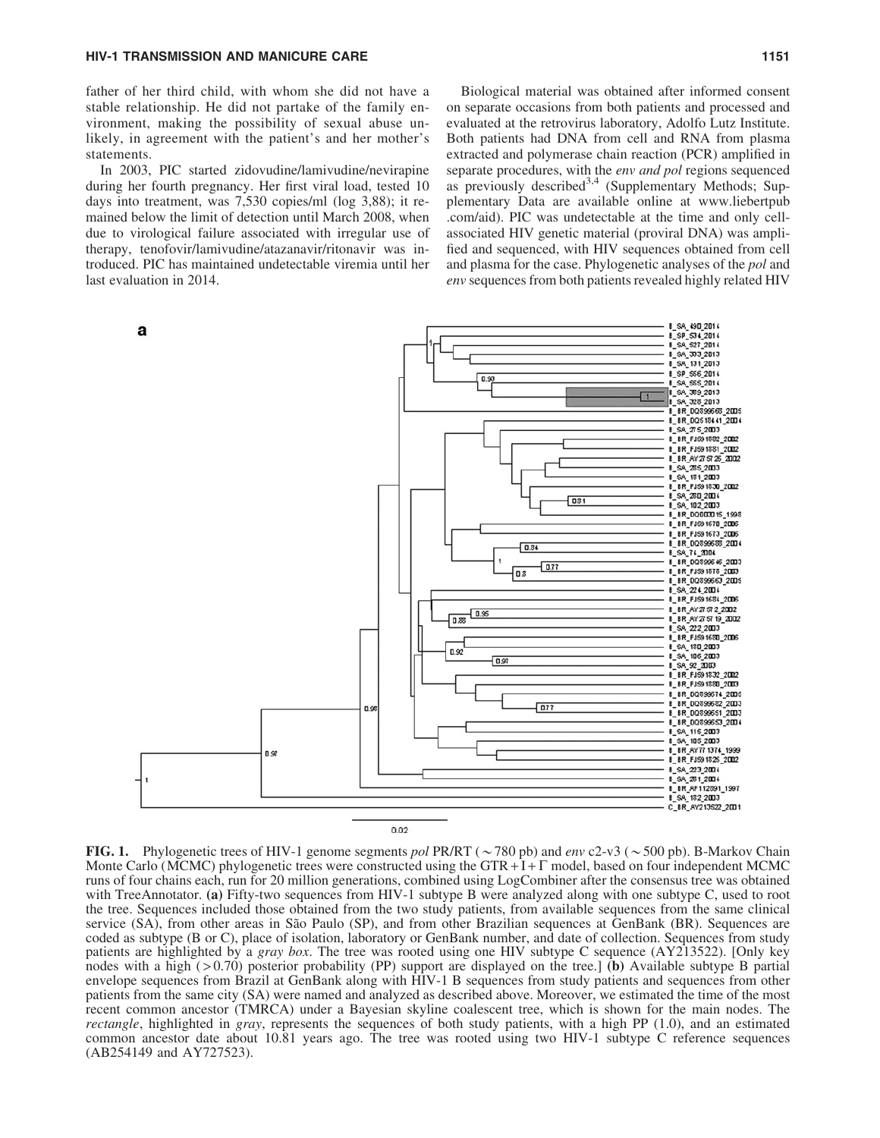father of her third child, with whom she did not have a stable relationship. He did not partake of the family environment, making the possibility of sexual abuse unlikely, in agreement with the patient's and her mother's statements.

In 2003, PIC started zidovudine/lamivudine/nevirapine during her fourth pregnancy. Her first viral load, tested 10 days into treatment, was 7,530 copies/ml (log 3,88); it remained below the limit of detection until March 2008, when due to virological failure associated with irregular use of therapy, tenofovir/lamivudine/atazanavir/ritonavir was introduced. PIC has maintained undetectable viremia until her last evaluation in 2014.

Biological material was obtained after informed consent on separate occasions from both patients and processed and evaluated at the retrovirus laboratory, Adolfo Lutz Institute. Both patients had DNA from cell and RNA from plasma extracted and polymerase chain reaction (PCR) amplified in separate procedures, with the *env and pol* regions sequenced as previously described<sup>3,4</sup> (Supplementary Methods; Supplementary Data are available online at www.liebertpub .com/aid). PIC was undetectable at the time and only cellassociated HIV genetic material (proviral DNA) was amplified and sequenced, with HIV sequences obtained from cell and plasma for the case. Phylogenetic analyses of the *pol* and *env* sequences from both patients revealed highly related HIV



FIG. 1. Phylogenetic trees of HIV-1 genome segments *pol* PR/RT ( $\sim$  780 pb) and *env* c2-v3 ( $\sim$  500 pb). B-Markov Chain Monte Carlo (MCMC) phylogenetic trees were constructed using the GTR + $I + \Gamma$  model, based on four independent MCMC runs of four chains each, run for 20 million generations, combined using LogCombiner after the consensus tree was obtained with TreeAnnotator. (a) Fifty-two sequences from HIV-1 subtype B were analyzed along with one subtype C, used to root the tree. Sequences included those obtained from the two study patients, from available sequences from the same clinical service (SA), from other areas in São Paulo (SP), and from other Brazilian sequences at GenBank (BR). Sequences are coded as subtype (B or C), place of isolation, laboratory or GenBank number, and date of collection. Sequences from study patients are highlighted by a *gray box*. The tree was rooted using one HIV subtype C sequence (AY213522). [Only key nodes with a high ( $> 0.70$ ) posterior probability (PP) support are displayed on the tree.] (b) Available subtype B partial envelope sequences from Brazil at GenBank along with HIV-1 B sequences from study patients and sequences from other patients from the same city (SA) were named and analyzed as described above. Moreover, we estimated the time of the most recent common ancestor (TMRCA) under a Bayesian skyline coalescent tree, which is shown for the main nodes. The *rectangle*, highlighted in *gray*, represents the sequences of both study patients, with a high PP (1.0), and an estimated common ancestor date about 10.81 years ago. The tree was rooted using two HIV-1 subtype C reference sequences (AB254149 and AY727523).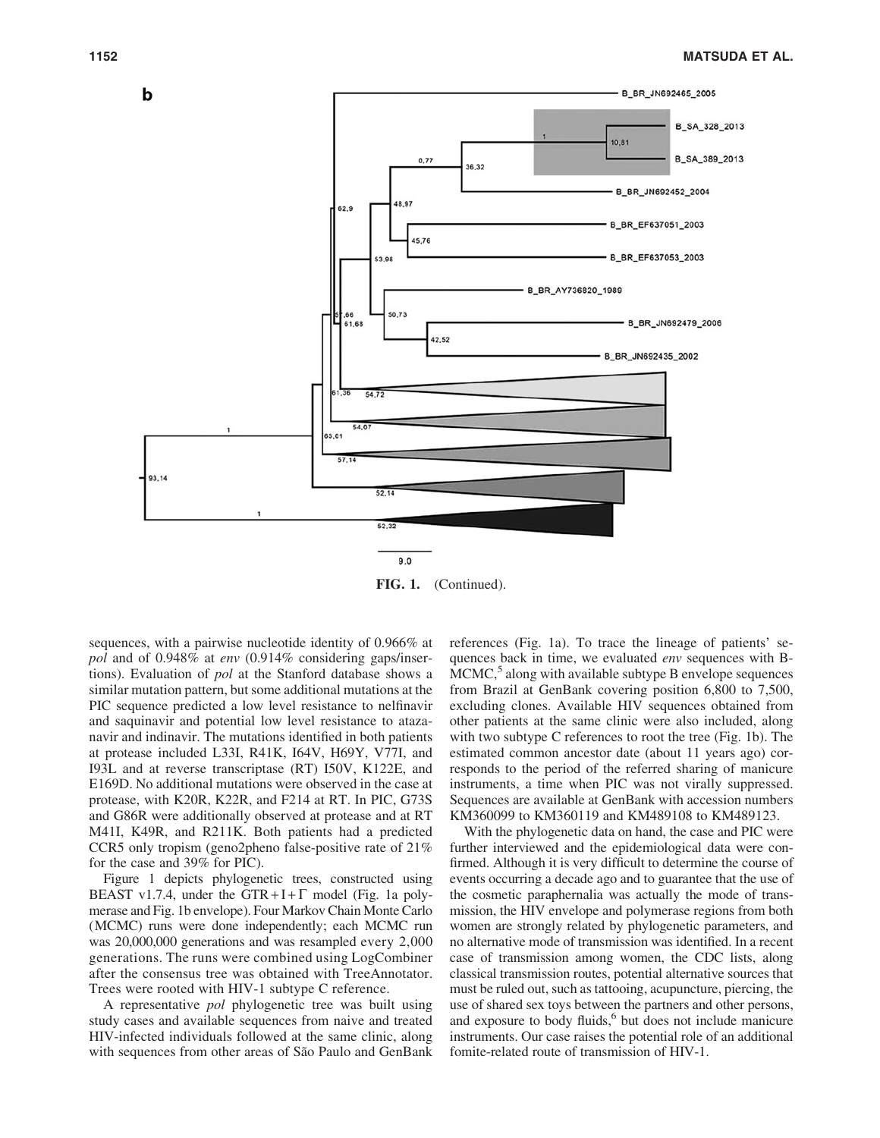

FIG. 1. (Continued).

sequences, with a pairwise nucleotide identity of 0.966% at *pol* and of 0.948% at *env* (0.914% considering gaps/insertions). Evaluation of *pol* at the Stanford database shows a similar mutation pattern, but some additional mutations at the PIC sequence predicted a low level resistance to nelfinavir and saquinavir and potential low level resistance to atazanavir and indinavir. The mutations identified in both patients at protease included L33I, R41K, I64V, H69Y, V77I, and I93L and at reverse transcriptase (RT) I50V, K122E, and E169D. No additional mutations were observed in the case at protease, with K20R, K22R, and F214 at RT. In PIC, G73S and G86R were additionally observed at protease and at RT M41I, K49R, and R211K. Both patients had a predicted CCR5 only tropism (geno2pheno false-positive rate of 21% for the case and 39% for PIC).

Figure 1 depicts phylogenetic trees, constructed using BEAST v1.7.4, under the GTR+I+ $\Gamma$  model (Fig. 1a polymerase and Fig. 1b envelope). Four Markov Chain Monte Carlo (MCMC) runs were done independently; each MCMC run was 20,000,000 generations and was resampled every 2,000 generations. The runs were combined using LogCombiner after the consensus tree was obtained with TreeAnnotator. Trees were rooted with HIV-1 subtype C reference.

A representative *pol* phylogenetic tree was built using study cases and available sequences from naive and treated HIV-infected individuals followed at the same clinic, along with sequences from other areas of São Paulo and GenBank

references (Fig. 1a). To trace the lineage of patients' sequences back in time, we evaluated *env* sequences with B- $MCMC$ ,<sup>5</sup> along with available subtype B envelope sequences from Brazil at GenBank covering position 6,800 to 7,500, excluding clones. Available HIV sequences obtained from other patients at the same clinic were also included, along with two subtype C references to root the tree (Fig. 1b). The estimated common ancestor date (about 11 years ago) corresponds to the period of the referred sharing of manicure instruments, a time when PIC was not virally suppressed. Sequences are available at GenBank with accession numbers KM360099 to KM360119 and KM489108 to KM489123.

With the phylogenetic data on hand, the case and PIC were further interviewed and the epidemiological data were confirmed. Although it is very difficult to determine the course of events occurring a decade ago and to guarantee that the use of the cosmetic paraphernalia was actually the mode of transmission, the HIV envelope and polymerase regions from both women are strongly related by phylogenetic parameters, and no alternative mode of transmission was identified. In a recent case of transmission among women, the CDC lists, along classical transmission routes, potential alternative sources that must be ruled out, such as tattooing, acupuncture, piercing, the use of shared sex toys between the partners and other persons, and exposure to body fluids,<sup>6</sup> but does not include manicure instruments. Our case raises the potential role of an additional fomite-related route of transmission of HIV-1.